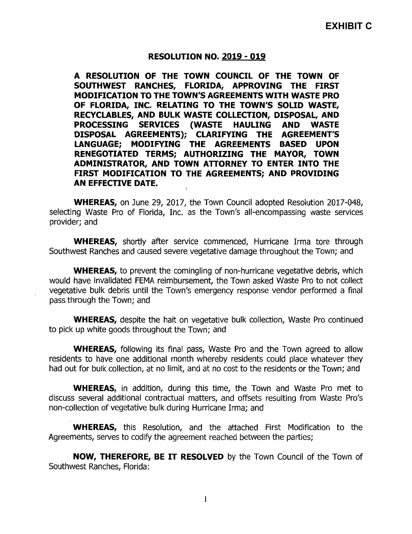## RESOLUTION NO. 2019 - 019

A RESOLUTION OF THE TOWN COUNCIL OF THE TOWN OF SOUTHWEST RANCHES, FLORIDA, APPROVING THE FIRST MODIFICATION TO THE TOWN'S AGREEMENTS WITH WASTE PRO OF FLORIDA, INC. RELATING TO THE TOWN'S SOLID WASTE, RECYCLABLES, AND BULK WASTE COLLECTION, DISPOSAL, AND<br>PROCESSING SERVICES (WASTE HAULING AND WASTE PROCESSING SERVICES (WASTE HAULING DISPOSAL AGREEMENTS); CLARIFYING THE AGREEMENT'S LANGUAGE; MODIFYING THE AGREEMENTS BASED UPON RENEGOTIATED TERMS; AUTHORIZING THE MAYOR, TOWN ADMINISTRATOR, AND TOWN ATTORNEY TO ENTER INTO THE FIRST MODIFICATION TO THE AGREEMENTS; AND PROVIDING AN EFFECTIVE DATE.

WHEREAS, on June 29, 2017, the Town Council adopted Resolution 2017-048, selecting Waste Pro of Florida, Inc. as the Town's all-encompassing waste services provider; and

WHEREAS, shortly after service commenced, Hurricane Irma tore through Southwest Ranches and caused severe vegetative damage throughout the Town; and

WHEREAS, to prevent the comingling of non-hurricane vegetative debris, which would have invalidated FEMA reimbursement, the Town asked Waste Pro to not collect vegetative bulk debris until the Town's emergency response vendor performed a final pass through the Town; and

WHEREAS, despite the halt on vegetative bulk collection, Waste Pro continued to pick up white goods throughout the Town; and

WHEREAS, following its final pass, Waste Pro and the Town agreed to allow residents to have one additional month whereby residents could place whatever they had out for bulk collection, at no limit, and at no cost to the residents or the Town; and

WHEREAS, in addition, during this time, the Town and Waste Pro met to discuss several additional contractual matters, and offsets resulting from Waste Pro's non -collection of vegetative bulk during Hurricane Irma; and

WHEREAS, this Resolution, and the attached First Modification to the Agreements, serves to codify the agreement reached between the parties;

NOW, THEREFORE, BE IT RESOLVED by the Town Council of the Town of Southwest Ranches, Florida:

 $\mathbf{1}$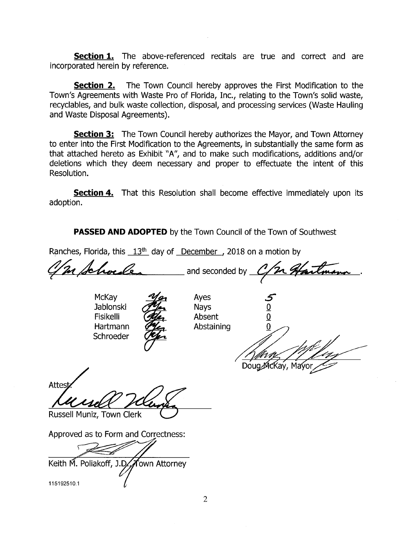**Section 1.** The above-referenced recitals are true and correct and are incorporated herein by reference.

**Section 2.** The Town Council hereby approves the First Modification to the Town's Agreements with Waste Pro of Florida, Inc., relating to the Town's solid waste, recyclables, and bulk waste collection, disposal, and processing services ( Waste Hauling and Waste Disposal Agreements).

**Section 3:** The Town Council hereby authorizes the Mayor, and Town Attorney to enter into the First Modification to the Agreements, in substantially the same form as that attached hereto as Exhibit "A", and to make such modifications, additions and/or deletions which they deem necessary and proper to effectuate the intent of this Resolution.

**Section 4.** That this Resolution shall become effective immediately upon its adoption.

**PASSED AND ADOPTED** by the Town Council of the Town of Southwest

Ranches, Florida, this  $13<sup>th</sup>$  day of December, 2018 on a motion by

In Schoele, and seconded by C/m Hartmann

McKay *Mex* Ayes<br>Jablonski **Alex** Navs Jablonski  $\overline{C}$  Nays  $\overline{O}$ <br>Fisikelli  $\overline{C}$  Absent  $\overline{O}$ Fisikelli (Alex Absent Hartmann  $P_{\text{K}}$  Abstaining 0 Schroeder



il p Doug McKay, Ma

**Attes** 

Russell Muniz, Town Clerk

Approved as to Form and Correctness:

Keith M. Poliakoff, J.D. Jown Attorney

115192510. <sup>1</sup>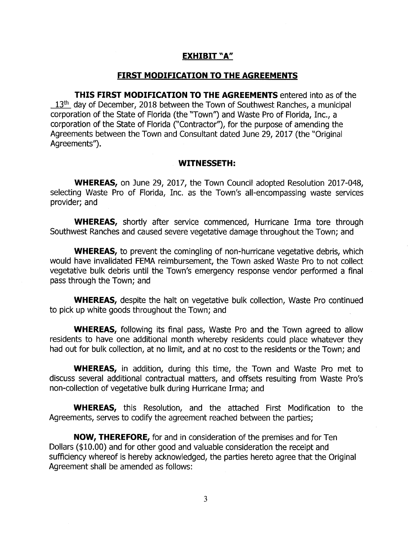## EXHIBIT "A"

### FIRST MODIFICATION TO THE AGREEMENTS

THIS FIRST MODIFICATION TO THE AGREEMENTS entered into as of the  $13<sup>th</sup>$  day of December, 2018 between the Town of Southwest Ranches, a municipal corporation of the State of Florida ( the "Town") and Waste Pro of Florida, Inc., a corporation of the State of Florida (" Contractor'), for the purpose of amending the Agreements between the Town and Consultant dated June 29, 2017 (the "Original Agreements').

#### WITNESSETH:

WHEREAS, on June 29, 2017, the Town Council adopted Resolution 2017-048, selecting Waste Pro of Florida, Inc. as the Town's all-encompassing waste services provider; and

WHEREAS, shortly after service commenced, Hurricane Irma tore through Southwest Ranches and caused severe vegetative damage throughout the Town; and

WHEREAS, to prevent the comingling of non-hurricane vegetative debris, which would have invalidated FEMA reimbursement, the Town asked Waste Pro to not collect vegetative bulk debris until the Town's emergency response vendor performed a final pass through the Town; and

WHEREAS, despite the halt on vegetative bulk collection, Waste Pro continued to pick up white goods throughout the Town; and

WHEREAS, following its final pass, Waste Pro and the Town agreed to allow residents to have one additional month whereby residents could place whatever they had out for bulk collection, at no limit, and at no cost to the residents or the Town; and

WHEREAS, in addition, during this time, the Town and Waste Pro met to discuss several additional contractual matters, and offsets resulting from Waste Pro's non -collection of vegetative bulk during Hurricane Irma; and

WHEREAS, this Resolution, and the attached First Modification to the Agreements, serves to codify the agreement reached between the parties;

NOW, THEREFORE, for and in consideration of the premises and for Ten Dollars (\$10.00) and for other good and valuable consideration the receipt and sufficiency whereof is hereby acknowledged, the parties hereto agree that the Original Agreement shall be amended as follows: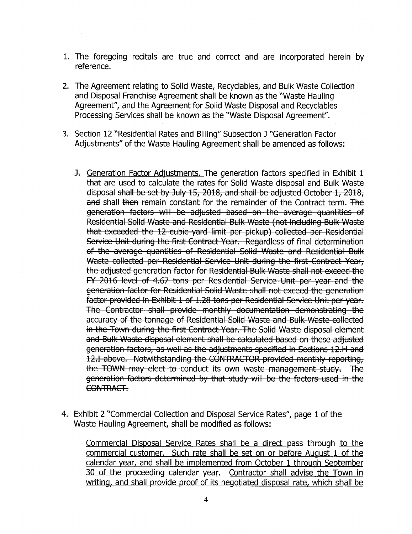- 1. The foregoing recitals are true and correct and are incorporated herein by reference.
- 2. The Agreement relating to Solid Waste, Recyclables, and Bulk Waste Collection and Disposal Franchise Agreement shall be known as the "'Waste Hauling Agreement", and the Agreement for Solid Waste Disposal and Recyclables Processing Services shall be known as the " Waste Disposal Agreement".
- 3. Section 12 " Residential Rates and Billing" Subsection J " Generation Factor Adjustments" of the Waste Hauling Agreement shall be amended as follows:
	- 3. Generation Factor Adjustments. The generation factors specified in Exhibit 1 that are used to calculate the rates for Solid Waste disposal and Bulk Waste disposal shall be set by July 15, 2018, and shall be adjusted October 1, 2018, and shall then remain constant for the remainder of the Contract term. The generation-factors will be adjusted based on the average quantities of Residential Solid Waste and Residential Bulk Waste (not including Bulk Waste that exceeded the 12 cubic yard limit per pickup) collected per Residential Service Unit during the first Contract Year. Regardless of final determination of the average quantities of Residential Solid Waste and Residential Bulk Waste collected per Residential Service Unit during the first Contract Year, the adjusted generation factor for Residential Bulk Waste shall not exceed the FY 2016 level of 4.67 tons per Residential Service Unit per year and the generation factor for Residential Solid Waste shall not exceed the generation factor provided in Exhibit 1 of 1.28 tons per Residential Service Unit per year. The Contractor shall provide monthly documentation demonstrating the accuracy of the tonnage of Residential Solid Waste and Bulk Waste collected in the Town during the first Contract Year. The Solid Waste disposal element and Bulk Waste disposal element shall be calculated based on these adjusted generation factors, as well as the adjustments specified in Sections 12.H and 12.I above. Notwithstanding the CONTRACTOR provided monthly reporting, the TOWN may elect to conduct its own waste management study. The generation factors determined by that study will be the factors used in the CONTRACT-
- 4. Exhibit 2 "Commercial Collection and Disposal Service Rates", page 1 of the Waste Hauling Agreement, shall be modified as follows:

Commercial Disposal Service Rates shall be a direct pass through to the commercial customer. Such rate shall be set on or before August <sup>1</sup> of the calendar year, and shall be implemented from October <sup>1</sup> through September 30 of the proceeding calendar year. Contractor shall advise the Town in writing, and shall provide proof of its negotiated disposal rate, which shall be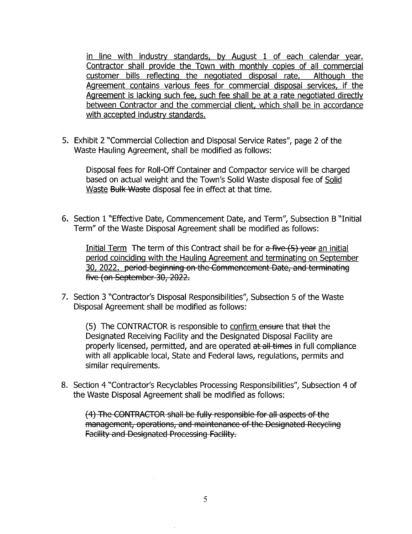in line with industry standards, by August <sup>1</sup> of each calendar year. Contractor shall provide the Town with monthly copies of all commercial customer bills reflecting the negotiated disposal rate. Although the Agreement contains various fees for commercial disposal services, if the Agreement is lacking such fee, such fee shall be at a rate negotiated directly between Contractor and the commercial client, which shall be in accordance with accepted industry standards.

5. Exhibit 2 "Commercial Collection and Disposal Service Rates", page 2 of the Waste Hauling Agreement, shall be modified as follows:

Disposal fees for Roll -Off Container and Compactor service will be charged based on actual weight and the Town's Solid Waste disposal fee of Solid Waste Bulk Waste disposal fee in effect at that time.

6. Section 1 " Effective Date, Commencement Date, and Term", Subsection B " Initial Term" of the Waste Disposal Agreement shall be modified as follows:

Initial Term The term of this Contract shall be for  $a$  five  $(5)$  year an initial period coinciding with the Haulina Aareement and terminatina on September 30, 2022. period beginning on the Commencement Date, and terminating five (on September 30, 2022.

7. Section 3 "Contractor's Disposal Responsibilities", Subsection 5 of the Waste Disposal Agreement shall be modified as follows:

5) The CONTRACTOR is responsible to confirm ensure that that the Designated Receiving Facility and the Designated Disposal Facility are properly licensed, permitted, and are operated at all times in full compliance with all applicable local, State and Federal laws, regulations, permits and similar requirements.

8. Section 4 "Contractor's Recyclables Processing Responsibilities", Subsection 4 of the Waste Disposal Agreement shall be modified as follows:

(4) The CONTRACTOR shall be fully responsible for all aspects of the management, operations, and maintenance of the Designated Recycling **Facility and Designated Processing Facility.**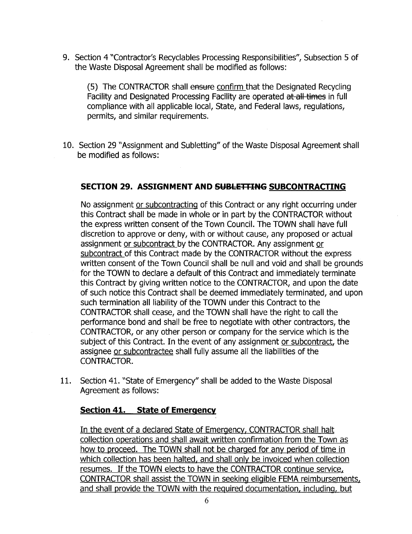9. Section 4 "Contractor's Recyclables Processing Responsibilities", Subsection 5 of the Waste Disposal Agreement shall be modified as follows:

5) The CONTRACTOR shall ensure confirm that the Designated Recycling Facility and Designated Processing Facility are operated at all times in full compliance with all applicable local, State, and Federal laws, regulations, permits, and similar requirements.

10. Section 29 " Assignment and Subletting" of the Waste Disposal Agreement shall be modified as follows:

# SECTION 29. ASSIGNMENT AND SUBLETTING SUBCONTRACTING

No assignment or subcontracting of this Contract or any right occurring under this Contract shall be made in whole or in part by the CONTRACTOR without the express written consent of the Town Council. The TOWN shall have full discretion to approve or deny, with or without cause, any proposed or actual assignment or subcontract by the CONTRACTOR. Any assignment or subcontract of this Contract made by the CONTRACTOR without the express written consent of the Town Council shall be null and void and shall be grounds for the TOWN to declare a default of this Contract and immediately terminate this Contract by giving written notice to the CONTRACTOR, and upon the date of such notice this Contract shall be deemed immediately terminated, and upon such termination all liability of the TOWN under this Contract to the CONTRACTOR shall cease, and the TOWN shall have the right to call the performance bond and shall be free to negotiate with other contractors, the CONTRACTOR, or any other person or company for the service which is the subject of this Contract. In the event of any assignment or subcontract, the assignee or subcontractee shall fully assume all the liabilities of the CONTRACTOR.

11. Section 41. "State of Emergency" shall be added to the Waste Disposal Agreement as follows:

## Section 41. State of Emergency

In the event of a declared State of Emergency, CONTRACTOR shall halt collection operations and shall await written confirmation from the Town as how to proceed. The TOWN shall not be charged for any period of time in which collection has been halted, and shall only be invoiced when collection resumes. If the TOWN elects to have the CONTRACTOR continue service, CONTRACTOR shall assist the TOWN in seeking eligible FEMA reimbursements, and shall provide the TOWN with the required documentation, including, but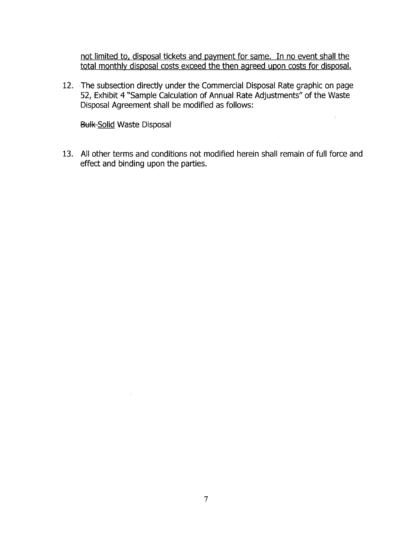not limited to, disposal tickets and payment for same. In no event shall the total monthly disposal costs exceed the then agreed upon costs for disposal.

 $\mathcal{A}^{\mathcal{A}}$ 

12. The subsection directly under the Commercial Disposal Rate graphic on page 52, Exhibit 4 "Sample Calculation of Annual Rate Adjustments" of the Waste Disposal Agreement shall be modified as follows:

**Bulk-Solid Waste Disposal** 

 $\sim \kappa_{\rm{eff}}$ 

13. All other terms and conditions not modified herein shall remain of full force and effect and binding upon the parties.